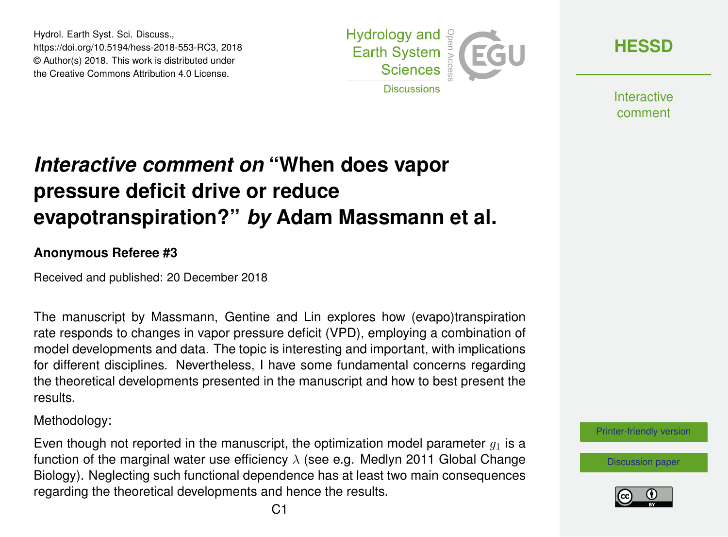Hydrol. Earth Syst. Sci. Discuss., https://doi.org/10.5194/hess-2018-553-RC3, 2018 © Author(s) 2018. This work is distributed under the Creative Commons Attribution 4.0 License.



**[HESSD](https://www.hydrol-earth-syst-sci-discuss.net/)**

**Interactive** comment

# *Interactive comment on* **"When does vapor pressure deficit drive or reduce evapotranspiration?"** *by* **Adam Massmann et al.**

#### **Anonymous Referee #3**

Received and published: 20 December 2018

The manuscript by Massmann, Gentine and Lin explores how (evapo)transpiration rate responds to changes in vapor pressure deficit (VPD), employing a combination of model developments and data. The topic is interesting and important, with implications for different disciplines. Nevertheless, I have some fundamental concerns regarding the theoretical developments presented in the manuscript and how to best present the results.

Methodology:

Even though not reported in the manuscript, the optimization model parameter  $q_1$  is a function of the marginal water use efficiency  $\lambda$  (see e.g. Medlyn 2011 Global Change Biology). Neglecting such functional dependence has at least two main consequences regarding the theoretical developments and hence the results.



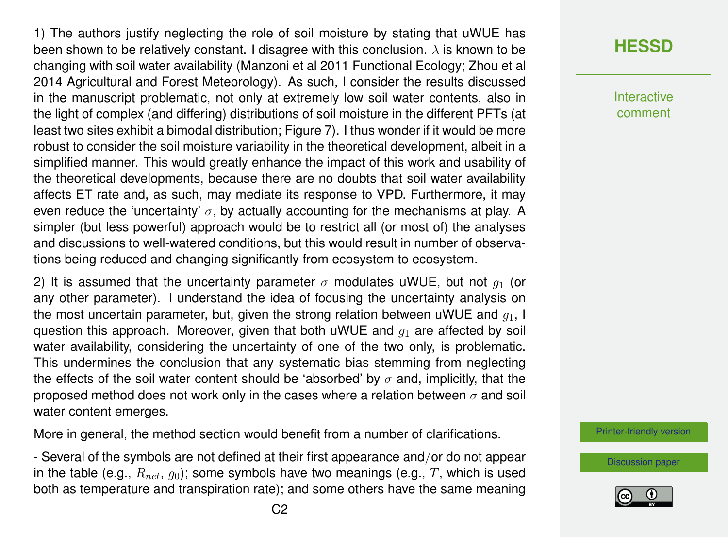1) The authors justify neglecting the role of soil moisture by stating that uWUE has been shown to be relatively constant. I disagree with this conclusion.  $\lambda$  is known to be changing with soil water availability (Manzoni et al 2011 Functional Ecology; Zhou et al 2014 Agricultural and Forest Meteorology). As such, I consider the results discussed in the manuscript problematic, not only at extremely low soil water contents, also in the light of complex (and differing) distributions of soil moisture in the different PFTs (at least two sites exhibit a bimodal distribution; Figure 7). I thus wonder if it would be more robust to consider the soil moisture variability in the theoretical development, albeit in a simplified manner. This would greatly enhance the impact of this work and usability of the theoretical developments, because there are no doubts that soil water availability affects ET rate and, as such, may mediate its response to VPD. Furthermore, it may even reduce the 'uncertainty'  $\sigma$ , by actually accounting for the mechanisms at play. A simpler (but less powerful) approach would be to restrict all (or most of) the analyses and discussions to well-watered conditions, but this would result in number of observations being reduced and changing significantly from ecosystem to ecosystem.

2) It is assumed that the uncertainty parameter  $\sigma$  modulates uWUE, but not  $q_1$  (or any other parameter). I understand the idea of focusing the uncertainty analysis on the most uncertain parameter, but, given the strong relation between uWUE and  $q_1$ , I question this approach. Moreover, given that both uWUE and  $q_1$  are affected by soil water availability, considering the uncertainty of one of the two only, is problematic. This undermines the conclusion that any systematic bias stemming from neglecting the effects of the soil water content should be 'absorbed' by  $\sigma$  and, implicitly, that the proposed method does not work only in the cases where a relation between  $\sigma$  and soil water content emerges.

More in general, the method section would benefit from a number of clarifications.

- Several of the symbols are not defined at their first appearance and/or do not appear in the table (e.g.,  $R_{net}$ ,  $q_0$ ); some symbols have two meanings (e.g., T, which is used both as temperature and transpiration rate); and some others have the same meaning

### **[HESSD](https://www.hydrol-earth-syst-sci-discuss.net/)**

**Interactive** comment

[Printer-friendly version](https://www.hydrol-earth-syst-sci-discuss.net/hess-2018-553/hess-2018-553-RC3-print.pdf)

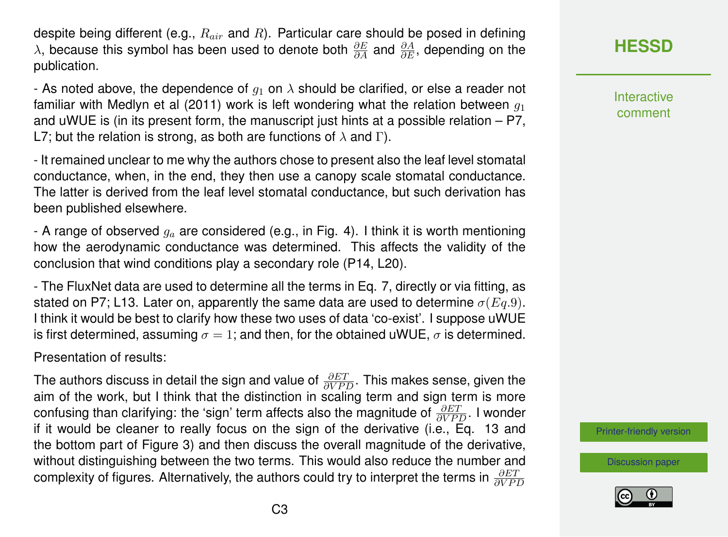despite being different (e.g.,  $R_{air}$  and R). Particular care should be posed in defining  $\lambda$ , because this symbol has been used to denote both  $\frac{\partial E}{\partial A}$  and  $\frac{\partial A}{\partial E}$ , depending on the publication.

- As noted above, the dependence of  $q_1$  on  $\lambda$  should be clarified, or else a reader not familiar with Medlyn et al (2011) work is left wondering what the relation between  $q_1$ and uWUE is (in its present form, the manuscript just hints at a possible relation – P7, L7; but the relation is strong, as both are functions of  $\lambda$  and Γ).

- It remained unclear to me why the authors chose to present also the leaf level stomatal conductance, when, in the end, they then use a canopy scale stomatal conductance. The latter is derived from the leaf level stomatal conductance, but such derivation has been published elsewhere.

- A range of observed  $q_a$  are considered (e.g., in Fig. 4). I think it is worth mentioning how the aerodynamic conductance was determined. This affects the validity of the conclusion that wind conditions play a secondary role (P14, L20).

- The FluxNet data are used to determine all the terms in Eq. 7, directly or via fitting, as stated on P7; L13. Later on, apparently the same data are used to determine  $\sigma(Eq.9)$ . I think it would be best to clarify how these two uses of data 'co-exist'. I suppose uWUE is first determined, assuming  $\sigma = 1$ ; and then, for the obtained uWUE,  $\sigma$  is determined.

Presentation of results:

The authors discuss in detail the sign and value of  $\frac{\partial ET}{\partial VPD}.$  This makes sense, given the aim of the work, but I think that the distinction in scaling term and sign term is more confusing than clarifying: the 'sign' term affects also the magnitude of  $\frac{\partial ET}{\partial VPD}$ . I wonder if it would be cleaner to really focus on the sign of the derivative (i.e., Eq. 13 and the bottom part of Figure 3) and then discuss the overall magnitude of the derivative, without distinguishing between the two terms. This would also reduce the number and complexity of figures. Alternatively, the authors could try to interpret the terms in  $\frac{\partial ET}{\partial VPD}$ 

**[HESSD](https://www.hydrol-earth-syst-sci-discuss.net/)**

**Interactive** comment

[Printer-friendly version](https://www.hydrol-earth-syst-sci-discuss.net/hess-2018-553/hess-2018-553-RC3-print.pdf)

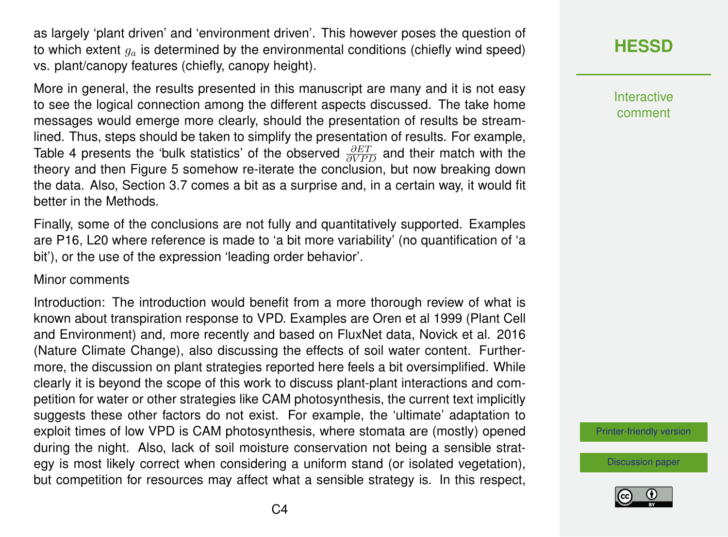as largely 'plant driven' and 'environment driven'. This however poses the question of to which extent  $g_a$  is determined by the environmental conditions (chiefly wind speed) vs. plant/canopy features (chiefly, canopy height).

More in general, the results presented in this manuscript are many and it is not easy to see the logical connection among the different aspects discussed. The take home messages would emerge more clearly, should the presentation of results be streamlined. Thus, steps should be taken to simplify the presentation of results. For example, Table 4 presents the 'bulk statistics' of the observed  $\frac{\partial ET}{\partial VPD}$  and their match with the theory and then Figure 5 somehow re-iterate the conclusion, but now breaking down the data. Also, Section 3.7 comes a bit as a surprise and, in a certain way, it would fit better in the Methods.

Finally, some of the conclusions are not fully and quantitatively supported. Examples are P16, L20 where reference is made to 'a bit more variability' (no quantification of 'a bit'), or the use of the expression 'leading order behavior'.

#### Minor comments

Introduction: The introduction would benefit from a more thorough review of what is known about transpiration response to VPD. Examples are Oren et al 1999 (Plant Cell and Environment) and, more recently and based on FluxNet data, Novick et al. 2016 (Nature Climate Change), also discussing the effects of soil water content. Furthermore, the discussion on plant strategies reported here feels a bit oversimplified. While clearly it is beyond the scope of this work to discuss plant-plant interactions and competition for water or other strategies like CAM photosynthesis, the current text implicitly suggests these other factors do not exist. For example, the 'ultimate' adaptation to exploit times of low VPD is CAM photosynthesis, where stomata are (mostly) opened during the night. Also, lack of soil moisture conservation not being a sensible strategy is most likely correct when considering a uniform stand (or isolated vegetation), but competition for resources may affect what a sensible strategy is. In this respect, **[HESSD](https://www.hydrol-earth-syst-sci-discuss.net/)**

Interactive comment

[Printer-friendly version](https://www.hydrol-earth-syst-sci-discuss.net/hess-2018-553/hess-2018-553-RC3-print.pdf)